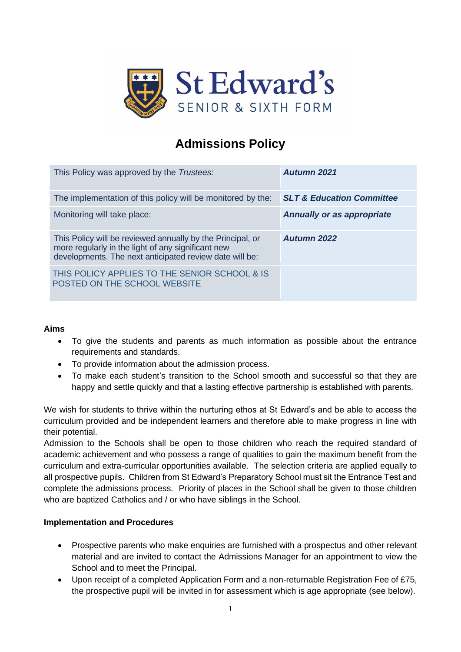

# **Admissions Policy**

| This Policy was approved by the Trustees:                                                                                                                                   | Autumn 2021                          |
|-----------------------------------------------------------------------------------------------------------------------------------------------------------------------------|--------------------------------------|
| The implementation of this policy will be monitored by the:                                                                                                                 | <b>SLT &amp; Education Committee</b> |
| Monitoring will take place:                                                                                                                                                 | <b>Annually or as appropriate</b>    |
| This Policy will be reviewed annually by the Principal, or<br>more regularly in the light of any significant new<br>developments. The next anticipated review date will be: | <b>Autumn 2022</b>                   |
| THIS POLICY APPLIES TO THE SENIOR SCHOOL & IS<br>POSTED ON THE SCHOOL WEBSITE                                                                                               |                                      |

## **Aims**

- To give the students and parents as much information as possible about the entrance requirements and standards.
- To provide information about the admission process.
- To make each student's transition to the School smooth and successful so that they are happy and settle quickly and that a lasting effective partnership is established with parents.

We wish for students to thrive within the nurturing ethos at St Edward's and be able to access the curriculum provided and be independent learners and therefore able to make progress in line with their potential.

Admission to the Schools shall be open to those children who reach the required standard of academic achievement and who possess a range of qualities to gain the maximum benefit from the curriculum and extra-curricular opportunities available. The selection criteria are applied equally to all prospective pupils. Children from St Edward's Preparatory School must sit the Entrance Test and complete the admissions process. Priority of places in the School shall be given to those children who are baptized Catholics and / or who have siblings in the School.

#### **Implementation and Procedures**

- Prospective parents who make enquiries are furnished with a prospectus and other relevant material and are invited to contact the Admissions Manager for an appointment to view the School and to meet the Principal.
- Upon receipt of a completed Application Form and a non-returnable Registration Fee of £75, the prospective pupil will be invited in for assessment which is age appropriate (see below).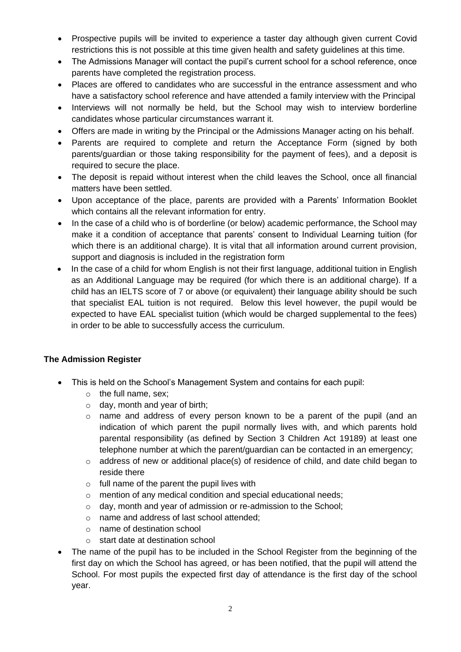- Prospective pupils will be invited to experience a taster day although given current Covid restrictions this is not possible at this time given health and safety guidelines at this time.
- The Admissions Manager will contact the pupil's current school for a school reference, once parents have completed the registration process.
- Places are offered to candidates who are successful in the entrance assessment and who have a satisfactory school reference and have attended a family interview with the Principal
- Interviews will not normally be held, but the School may wish to interview borderline candidates whose particular circumstances warrant it.
- Offers are made in writing by the Principal or the Admissions Manager acting on his behalf.
- Parents are required to complete and return the Acceptance Form (signed by both parents/guardian or those taking responsibility for the payment of fees), and a deposit is required to secure the place.
- The deposit is repaid without interest when the child leaves the School, once all financial matters have been settled.
- Upon acceptance of the place, parents are provided with a Parents' Information Booklet which contains all the relevant information for entry.
- In the case of a child who is of borderline (or below) academic performance, the School may make it a condition of acceptance that parents' consent to Individual Learning tuition (for which there is an additional charge). It is vital that all information around current provision, support and diagnosis is included in the registration form
- In the case of a child for whom English is not their first language, additional tuition in English as an Additional Language may be required (for which there is an additional charge). If a child has an IELTS score of 7 or above (or equivalent) their language ability should be such that specialist EAL tuition is not required. Below this level however, the pupil would be expected to have EAL specialist tuition (which would be charged supplemental to the fees) in order to be able to successfully access the curriculum.

# **The Admission Register**

- This is held on the School's Management System and contains for each pupil:
	- o the full name, sex;
	- $\circ$  day, month and year of birth;
	- o name and address of every person known to be a parent of the pupil (and an indication of which parent the pupil normally lives with, and which parents hold parental responsibility (as defined by Section 3 Children Act 19189) at least one telephone number at which the parent/guardian can be contacted in an emergency;
	- o address of new or additional place(s) of residence of child, and date child began to reside there
	- $\circ$  full name of the parent the pupil lives with
	- o mention of any medical condition and special educational needs;
	- o day, month and year of admission or re-admission to the School;
	- o name and address of last school attended;
	- o name of destination school
	- o start date at destination school
- The name of the pupil has to be included in the School Register from the beginning of the first day on which the School has agreed, or has been notified, that the pupil will attend the School. For most pupils the expected first day of attendance is the first day of the school year.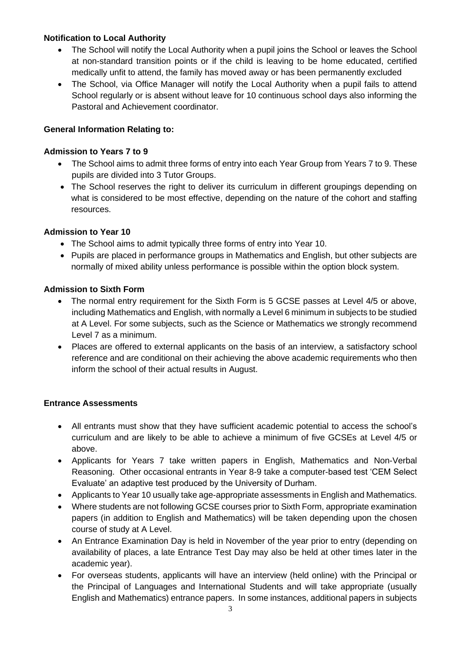# **Notification to Local Authority**

- The School will notify the Local Authority when a pupil joins the School or leaves the School at non-standard transition points or if the child is leaving to be home educated, certified medically unfit to attend, the family has moved away or has been permanently excluded
- The School, via Office Manager will notify the Local Authority when a pupil fails to attend School regularly or is absent without leave for 10 continuous school days also informing the Pastoral and Achievement coordinator.

# **General Information Relating to:**

## **Admission to Years 7 to 9**

- The School aims to admit three forms of entry into each Year Group from Years 7 to 9. These pupils are divided into 3 Tutor Groups.
- The School reserves the right to deliver its curriculum in different groupings depending on what is considered to be most effective, depending on the nature of the cohort and staffing resources.

#### **Admission to Year 10**

- The School aims to admit typically three forms of entry into Year 10.
- Pupils are placed in performance groups in Mathematics and English, but other subjects are normally of mixed ability unless performance is possible within the option block system.

#### **Admission to Sixth Form**

- The normal entry requirement for the Sixth Form is 5 GCSE passes at Level 4/5 or above, including Mathematics and English, with normally a Level 6 minimum in subjects to be studied at A Level. For some subjects, such as the Science or Mathematics we strongly recommend Level 7 as a minimum.
- Places are offered to external applicants on the basis of an interview, a satisfactory school reference and are conditional on their achieving the above academic requirements who then inform the school of their actual results in August.

# **Entrance Assessments**

- All entrants must show that they have sufficient academic potential to access the school's curriculum and are likely to be able to achieve a minimum of five GCSEs at Level 4/5 or above.
- Applicants for Years 7 take written papers in English, Mathematics and Non-Verbal Reasoning. Other occasional entrants in Year 8-9 take a computer-based test 'CEM Select Evaluate' an adaptive test produced by the University of Durham.
- Applicants to Year 10 usually take age-appropriate assessments in English and Mathematics.
- Where students are not following GCSE courses prior to Sixth Form, appropriate examination papers (in addition to English and Mathematics) will be taken depending upon the chosen course of study at A Level.
- An Entrance Examination Day is held in November of the year prior to entry (depending on availability of places, a late Entrance Test Day may also be held at other times later in the academic year).
- For overseas students, applicants will have an interview (held online) with the Principal or the Principal of Languages and International Students and will take appropriate (usually English and Mathematics) entrance papers. In some instances, additional papers in subjects